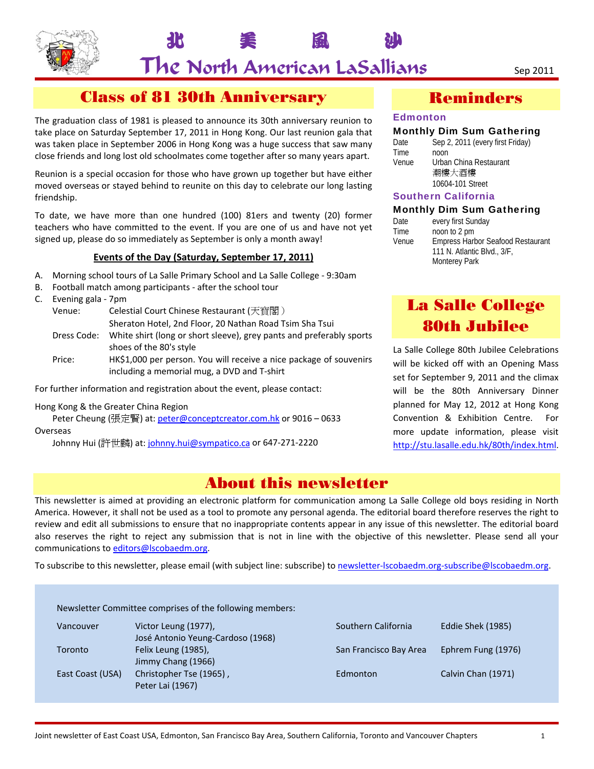

# $\mathsf{The}$  North American LaSallians  $_{\rm Sep\,2011}$

北 美 風 沙

# Class of 81 30th Anniversary

The graduation class of 1981 is pleased to announce its 30th anniversary reunion to take place on Saturday September 17, 2011 in Hong Kong. Our last reunion gala that was taken place in September 2006 in Hong Kong was a huge success that saw many close friends and long lost old schoolmates come together after so many years apart.

Reunion is a special occasion for those who have grown up together but have either moved overseas or stayed behind to reunite on this day to celebrate our long lasting friendship.

To date, we have more than one hundred (100) 81ers and twenty (20) former teachers who have committed to the event. If you are one of us and have not yet signed up, please do so immediately as September is only a month away!

# **Events of the Day (Saturday, September 17, 2011)**

- A. Morning school tours of La Salle Primary School and La Salle College ‐ 9:30am
- B. Football match among participants ‐ after the school tour
- C. Evening gala ‐ 7pm
	- Venue: Celestial Court Chinese Restaurant (天寳閣) Sheraton Hotel, 2nd Floor, 20 Nathan Road Tsim Sha Tsui
	- Dress Code: White shirt (long or short sleeve), grey pants and preferably sports shoes of the 80's style
	- Price: HK\$1,000 per person. You will receive a nice package of souvenirs including a memorial mug, a DVD and T‐shirt

For further information and registration about the event, please contact:

## Hong Kong & the Greater China Region

Peter Cheung (張定賢) at: peter@conceptcreator.com.hk or 9016 - 0633 Overseas

Johnny Hui (許世麟) at: johnny.hui@sympatico.ca or 647‐271‐2220

# About this newsletter

This newsletter is aimed at providing an electronic platform for communication among La Salle College old boys residing in North America. However, it shall not be used as a tool to promote any personal agenda. The editorial board therefore reserves the right to review and edit all submissions to ensure that no inappropriate contents appear in any issue of this newsletter. The editorial board also reserves the right to reject any submission that is not in line with the objective of this newsletter. Please send all your communications to editors@lscobaedm.org.

To subscribe to this newsletter, please email (with subject line: subscribe) to newsletter-lscobaedm.org-subscribe@lscobaedm.org.

Newsletter Committee comprises of the following members:

| Vancouver        | Victor Leung (1977),              |
|------------------|-----------------------------------|
|                  | José Antonio Yeung-Cardoso (1968) |
| Toronto          | Felix Leung (1985),               |
|                  | Jimmy Chang (1966)                |
| East Coast (USA) | Christopher Tse (1965),           |
|                  | Peter Lai (1967)                  |
|                  |                                   |

Southern California Eddie Shek (1985) San Francisco Bay Area Ephrem Fung (1976) Edmonton Calvin Chan (1971)

# Reminders

# **Edmonton**

# Monthly Dim Sum Gathering

| Date  | Sep 2, 2011 (every first Friday) |  |
|-------|----------------------------------|--|
| Time  | noon                             |  |
| Venue | Urban China Restaurant           |  |
|       | 潮樓大酒樓                            |  |
|       | 10604-101 Street                 |  |
|       |                                  |  |

# Southern California

## Monthly Dim Sum Gathering

| Date  | every first Sunday                       |
|-------|------------------------------------------|
| Time  | noon to 2 pm                             |
| Venue | <b>Empress Harbor Seafood Restaurant</b> |
|       | 111 N. Atlantic Blvd., 3/F,              |
|       | <b>Monterey Park</b>                     |
|       |                                          |

# La Salle College 80th Jubilee

La Salle College 80th Jubilee Celebrations will be kicked off with an Opening Mass set for September 9, 2011 and the climax will be the 80th Anniversary Dinner planned for May 12, 2012 at Hong Kong Convention & Exhibition Centre. For more update information, please visit http://stu.lasalle.edu.hk/80th/index.html.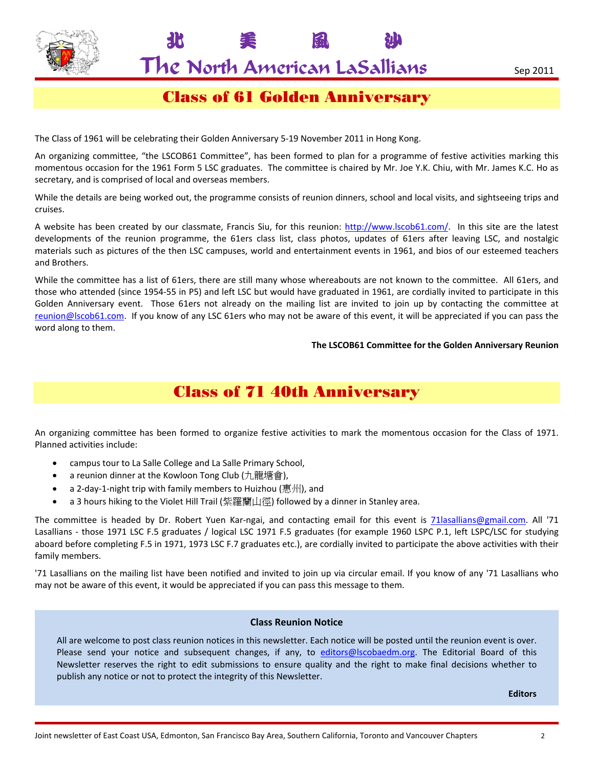

The North American LaSallians Sep 2011

北 美 風 沙

# Class of 61 Golden Anniversary

The Class of 1961 will be celebrating their Golden Anniversary 5‐19 November 2011 in Hong Kong.

An organizing committee, "the LSCOB61 Committee", has been formed to plan for a programme of festive activities marking this momentous occasion for the 1961 Form 5 LSC graduates. The committee is chaired by Mr. Joe Y.K. Chiu, with Mr. James K.C. Ho as secretary, and is comprised of local and overseas members.

While the details are being worked out, the programme consists of reunion dinners, school and local visits, and sightseeing trips and cruises.

A website has been created by our classmate, Francis Siu, for this reunion: http://www.lscob61.com/. In this site are the latest developments of the reunion programme, the 61ers class list, class photos, updates of 61ers after leaving LSC, and nostalgic materials such as pictures of the then LSC campuses, world and entertainment events in 1961, and bios of our esteemed teachers and Brothers.

While the committee has a list of 61ers, there are still many whose whereabouts are not known to the committee. All 61ers, and those who attended (since 1954‐55 in P5) and left LSC but would have graduated in 1961, are cordially invited to participate in this Golden Anniversary event. Those 61ers not already on the mailing list are invited to join up by contacting the committee at reunion@lscob61.com. If you know of any LSC 61ers who may not be aware of this event, it will be appreciated if you can pass the word along to them.

## **The LSCOB61 Committee for the Golden Anniversary Reunion**

# Class of 71 40th Anniversary

An organizing committee has been formed to organize festive activities to mark the momentous occasion for the Class of 1971. Planned activities include:

- campus tour to La Salle College and La Salle Primary School,
- a reunion dinner at the Kowloon Tong Club (九龍塘會),
- a 2‐day‐1‐night trip with family members to Huizhou (惠州), and
- a 3 hours hiking to the Violet Hill Trail (紫羅蘭山徑) followed by a dinner in Stanley area.

The committee is headed by Dr. Robert Yuen Kar-ngai, and contacting email for this event is 71lasallians@gmail.com. All '71 Lasallians - those 1971 LSC F.5 graduates / logical LSC 1971 F.5 graduates (for example 1960 LSPC P.1, left LSPC/LSC for studying aboard before completing F.5 in 1971, 1973 LSC F.7 graduates etc.), are cordially invited to participate the above activities with their family members.

'71 Lasallians on the mailing list have been notified and invited to join up via circular email. If you know of any '71 Lasallians who may not be aware of this event, it would be appreciated if you can pass this message to them.

# **Class Reunion Notice**

All are welcome to post class reunion notices in this newsletter. Each notice will be posted until the reunion event is over. Please send your notice and subsequent changes, if any, to editors@lscobaedm.org. The Editorial Board of this Newsletter reserves the right to edit submissions to ensure quality and the right to make final decisions whether to publish any notice or not to protect the integrity of this Newsletter.

**Editors**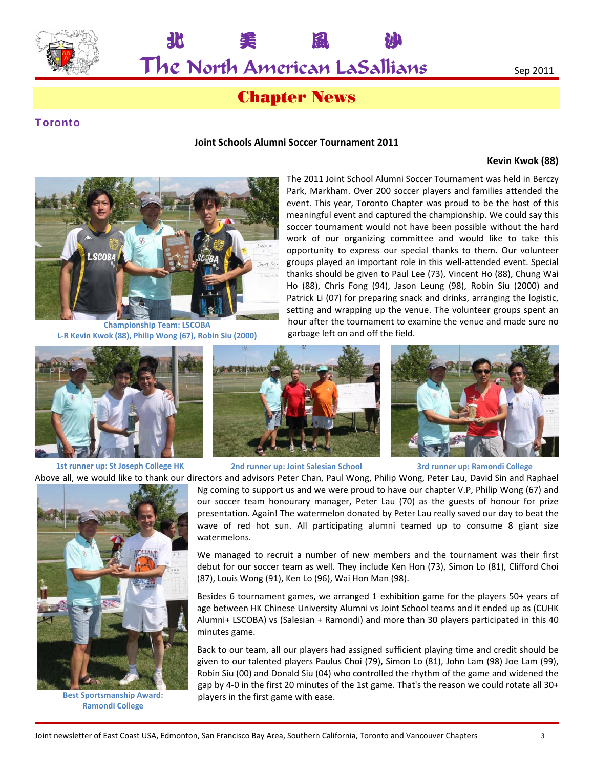

**Toronto** 

The North American LaSallians  $_{\rm Sep\,2011}$ 

北 美 風 沙

# Chapter News

#### **Joint Schools Alumni Soccer Tournament 2011**

#### **Kevin Kwok (88)**



**Championship Team: LSCOBA L‐R Kevin Kwok (88), Philip Wong (67), Robin Siu (2000)**





Above all, we would like to thank our directors and advisors Peter Chan, Paul Wong, Philip Wong, Peter Lau, David Sin and Raphael 1st runner up: St Joseph College HK 2nd runner up: Joint Salesian School 3rd runner up: Ramondi College



**Best Sportsmanship Award: Ramondi College**





Ng coming to support us and we were proud to have our chapter V.P, Philip Wong (67) and our soccer team honourary manager, Peter Lau (70) as the guests of honour for prize presentation. Again! The watermelon donated by Peter Lau really saved our day to beat the wave of red hot sun. All participating alumni teamed up to consume 8 giant size watermelons.

We managed to recruit a number of new members and the tournament was their first debut for our soccer team as well. They include Ken Hon (73), Simon Lo (81), Clifford Choi (87), Louis Wong (91), Ken Lo (96), Wai Hon Man (98).

Besides 6 tournament games, we arranged 1 exhibition game for the players 50+ years of age between HK Chinese University Alumni vs Joint School teams and it ended up as (CUHK Alumni+ LSCOBA) vs (Salesian + Ramondi) and more than 30 players participated in this 40 minutes game.

Back to our team, all our players had assigned sufficient playing time and credit should be given to our talented players Paulus Choi (79), Simon Lo (81), John Lam (98) Joe Lam (99), Robin Siu (00) and Donald Siu (04) who controlled the rhythm of the game and widened the gap by 4‐0 in the first 20 minutes of the 1st game. That's the reason we could rotate all 30+ players in the first game with ease.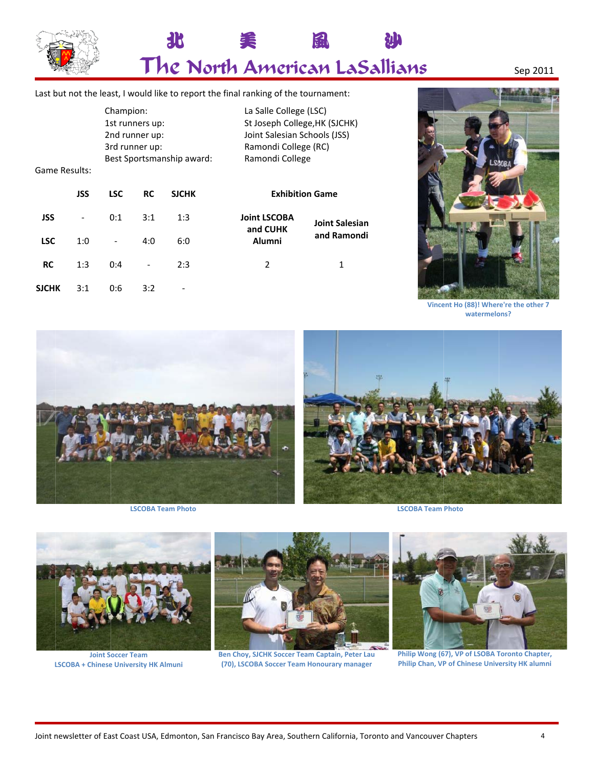

**SJCHK** 

 $3:1$ 

 $0:6$ 

 $3:2$ 

# 北 The North American LaSallians

Last but not the least, I would like to report the final ranking of the tournament:

# Sep 2011

|               |            | Champion:      |                 |                           | La Salle College (LSC)                                        |                        |  |
|---------------|------------|----------------|-----------------|---------------------------|---------------------------------------------------------------|------------------------|--|
|               |            |                | 1st runners up: |                           | St Joseph College, HK (SJCHK)<br>Joint Salesian Schools (JSS) |                        |  |
|               |            |                | 2nd runner up:  |                           |                                                               |                        |  |
|               |            | 3rd runner up: |                 |                           | Ramondi College (RC)                                          |                        |  |
|               |            |                |                 | Best Sportsmanship award: | Ramondi College                                               |                        |  |
| Game Results: |            |                |                 |                           |                                                               |                        |  |
|               | <b>JSS</b> | <b>LSC</b>     | <b>RC</b>       | <b>SJCHK</b>              |                                                               | <b>Exhibition Game</b> |  |
| <b>JSS</b>    |            | 0:1            | 3:1             | 1:3                       | <b>Joint LSCOBA</b><br>and CUHK                               | <b>Joint Salesian</b>  |  |
| <b>LSC</b>    | 1:0        |                | 4:0             | 6:0                       | Alumni                                                        | and Ramondi            |  |
| <b>RC</b>     | 1:3        | 0:4            |                 | 2:3                       | 2                                                             | 1                      |  |



Vincent Ho (88)! Where're the other 7 watermelons?



**LSCOBA Team Photo** 

**LSCOBA Team Photo** 



**Joint Soccer Team LSCOBA + Chinese University HK Almuni** 



Ben Choy, SJCHK Soccer Team Captain, Peter Lau (70), LSCOBA Soccer Team Honourary manager



Philip Wong (67), VP of LSOBA Toronto Chapter, Philip Chan, VP of Chinese University HK alumni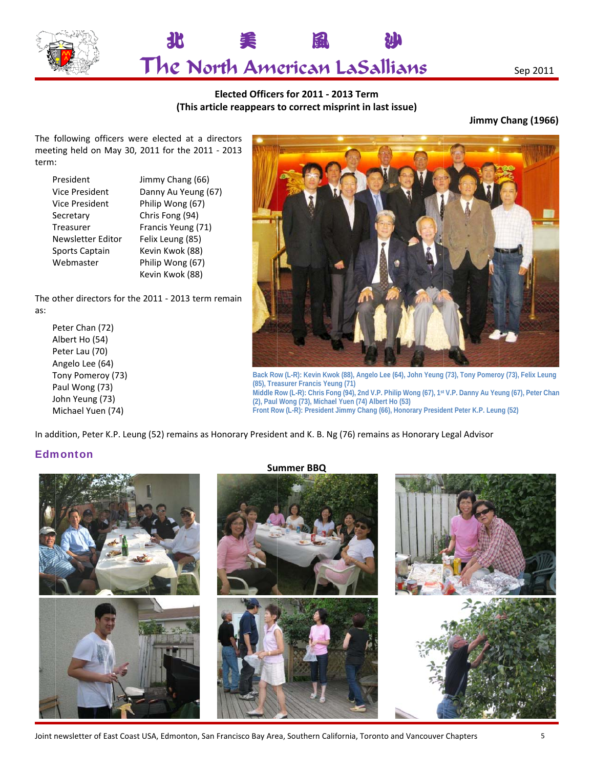

# The North American LaSallians

# Elected Officers for 2011 - 2013 Term (This article reappears to correct misprint in last issue)

## Jimmy Chang (1966)

The following officers were elected at a directors meeting held on May 30, 2011 for the 2011 - 2013 term:

北

| President         | Jimmy Chang (66)    |
|-------------------|---------------------|
| Vice President    | Danny Au Yeung (67) |
| Vice President    | Philip Wong (67)    |
| Secretary         | Chris Fong (94)     |
| Treasurer         | Francis Yeung (71)  |
| Newsletter Editor | Felix Leung (85)    |
| Sports Captain    | Kevin Kwok (88)     |
| Webmaster         | Philip Wong (67)    |
|                   | Kevin Kwok (88)     |
|                   |                     |

The other directors for the 2011 - 2013 term remain as:

Peter Chan (72) Albert Ho (54) Peter Lau (70) Angelo Lee (64) Tony Pomeroy (73) Paul Wong (73) John Yeung (73) Michael Yuen (74)



Back Row (L-R): Kevin Kwok (88), Angelo Lee (64), John Yeung (73), Tony Pomeroy (73), Felix Leung (85), Treasurer Francis Yeung (71) Middle Row (L-R): Chris Fong (94), 2nd V.P. Philip Wong (67), 1st V.P. Danny Au Yeung (67), Peter Chan (2), Paul Wong (73), Michael Yuen (74) Albert Ho (53) Front Row (L-R): President Jimmy Chang (66), Honorary President Peter K.P. Leung (52)

In addition, Peter K.P. Leung (52) remains as Honorary President and K. B. Ng (76) remains as Honorary Legal Advisor

# **Edmonton**



Joint newsletter of East Coast USA, Edmonton, San Francisco Bay Area, Southern California, Toronto and Vancouver Chapters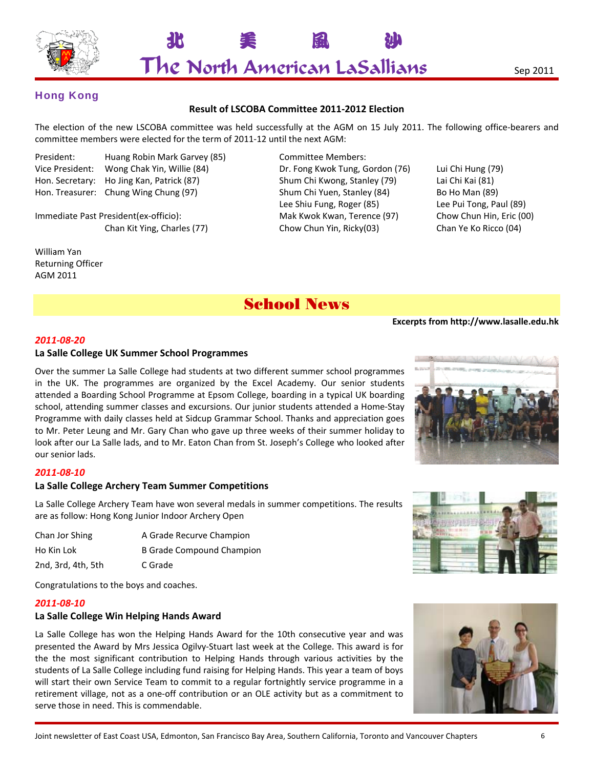

Sep 2011

# **Hong Kong**

# **Result of LSCOBA Committee 2011-2012 Election**

The North American LaSallians

The election of the new LSCOBA committee was held successfully at the AGM on 15 July 2011. The following office-bearers and committee members were elected for the term of 2011-12 until the next AGM:

President: Huang Robin Mark Garvey (85) Vice President: Wong Chak Yin, Willie (84) Hon. Secretary: Ho Jing Kan, Patrick (87) Hon. Treasurer: Chung Wing Chung (97)

56

Immediate Past President(ex-officio): Chan Kit Ying, Charles (77)

William Yan **Returning Officer** AGM 2011

**Committee Members:** Dr. Fong Kwok Tung, Gordon (76) Shum Chi Kwong, Stanley (79) Shum Chi Yuen, Stanley (84) Lee Shiu Fung, Roger (85) Mak Kwok Kwan, Terence (97) Chow Chun Yin, Ricky(03)

Lui Chi Hung (79) Lai Chi Kai (81) **Bo Ho Man (89)** Lee Pui Tong, Paul (89) Chow Chun Hin, Eric (00) Chan Ye Ko Ricco (04)

**School News** 

#### Excerpts from http://www.lasalle.edu.hk

## 2011-08-20

## La Salle College UK Summer School Programmes

Over the summer La Salle College had students at two different summer school programmes in the UK. The programmes are organized by the Excel Academy. Our senior students attended a Boarding School Programme at Epsom College, boarding in a typical UK boarding school, attending summer classes and excursions. Our junior students attended a Home-Stay Programme with daily classes held at Sidcup Grammar School. Thanks and appreciation goes to Mr. Peter Leung and Mr. Gary Chan who gave up three weeks of their summer holiday to look after our La Salle lads, and to Mr. Eaton Chan from St. Joseph's College who looked after our senior lads.



# 2011-08-10

## La Salle College Archery Team Summer Competitions

La Salle College Archery Team have won several medals in summer competitions. The results are as follow: Hong Kong Junior Indoor Archery Open

| Chan Jor Shing     | A Grade Recurve Champion         |
|--------------------|----------------------------------|
| Ho Kin Lok         | <b>B</b> Grade Compound Champion |
| 2nd, 3rd, 4th, 5th | C Grade                          |

Congratulations to the boys and coaches.

## 2011-08-10

## La Salle College Win Helping Hands Award

La Salle College has won the Helping Hands Award for the 10th consecutive year and was presented the Award by Mrs Jessica Ogilvy-Stuart last week at the College. This award is for the the most significant contribution to Helping Hands through various activities by the students of La Salle College including fund raising for Helping Hands. This year a team of boys will start their own Service Team to commit to a regular fortnightly service programme in a retirement village, not as a one-off contribution or an OLE activity but as a commitment to serve those in need. This is commendable.